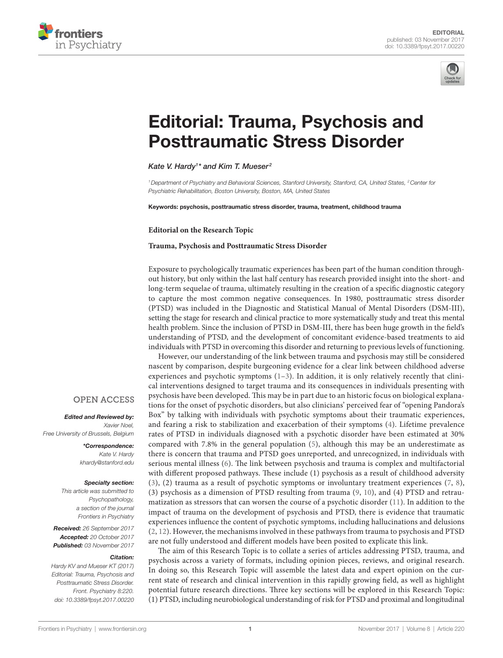



# **Editorial: Trauma, Psychosis and Posttraumatic Stress Disorder**

*[Kate V. Hardy1](http://loop.frontiersin.org/people/315018) \* and [Kim T. Mueser](http://loop.frontiersin.org/people/321120) <sup>2</sup>*

*1Department of Psychiatry and Behavioral Sciences, Stanford University, Stanford, CA, United States, 2Center for Psychiatric Rehabilitation, Boston University, Boston, MA, United States*

Keywords: psychosis, posttraumatic stress disorder, trauma, treatment, childhood trauma

**Editorial on the Research Topic**

#### **[Trauma, Psychosis and Posttraumatic Stress Disorder](http://journal.frontiersin.org/researchtopic/4761)**

Exposure to psychologically traumatic experiences has been part of the human condition throughout history, but only within the last half century has research provided insight into the short- and long-term sequelae of trauma, ultimately resulting in the creation of a specific diagnostic category to capture the most common negative consequences. In 1980, posttraumatic stress disorder (PTSD) was included in the Diagnostic and Statistical Manual of Mental Disorders (DSM-III), setting the stage for research and clinical practice to more systematically study and treat this mental health problem. Since the inclusion of PTSD in DSM-III, there has been huge growth in the field's understanding of PTSD, and the development of concomitant evidence-based treatments to aid individuals with PTSD in overcoming this disorder and returning to previous levels of functioning.

However, our understanding of the link between trauma and psychosis may still be considered nascent by comparison, despite burgeoning evidence for a clear link between childhood adverse experiences and psychotic symptoms [\(1–](#page-2-0)[3](#page-2-1)). In addition, it is only relatively recently that clinical interventions designed to target trauma and its consequences in individuals presenting with psychosis have been developed. This may be in part due to an historic focus on biological explanations for the onset of psychotic disorders, but also clinicians' perceived fear of "opening Pandora's Box" by talking with individuals with psychotic symptoms about their traumatic experiences, and fearing a risk to stabilization and exacerbation of their symptoms [\(4](#page-2-2)). Lifetime prevalence rates of PTSD in individuals diagnosed with a psychotic disorder have been estimated at 30% compared with 7.8% in the general population ([5](#page-2-3)), although this may be an underestimate as there is concern that trauma and PTSD goes unreported, and unrecognized, in individuals with serious mental illness ([6](#page-2-4)). The link between psychosis and trauma is complex and multifactorial with different proposed pathways. These include (1) psychosis as a result of childhood adversity [\(3\)](#page-2-1), (2) trauma as a result of psychotic symptoms or involuntary treatment experiences ([7](#page-2-5), [8](#page-2-6)), (3) psychosis as a dimension of PTSD resulting from trauma ([9,](#page-2-7) [10\)](#page-2-8), and (4) PTSD and retraumatization as stressors that can worsen the course of a psychotic disorder ([11](#page-2-9)). In addition to the impact of trauma on the development of psychosis and PTSD, there is evidence that traumatic experiences influence the content of psychotic symptoms, including hallucinations and delusions [\(2,](#page-2-10) [12](#page-2-11)). However, the mechanisms involved in these pathways from trauma to psychosis and PTSD are not fully understood and different models have been posited to explicate this link.

The aim of this Research Topic is to collate a series of articles addressing PTSD, trauma, and psychosis across a variety of formats, including opinion pieces, reviews, and original research. In doing so, this Research Topic will assemble the latest data and expert opinion on the current state of research and clinical intervention in this rapidly growing field, as well as highlight potential future research directions. Three key sections will be explored in this Research Topic: (1) PTSD, including neurobiological understanding of risk for PTSD and proximal and longitudinal

#### **OPEN ACCESS**

*Edited and Reviewed by: Xavier Noel, Free University of Brussels, Belgium*

> *\*Correspondence: Kate V. Hardy [khardy@stanford.edu](mailto:khardy@stanford.edu)*

#### *Specialty section:*

*This article was submitted to Psychopathology, a section of the journal Frontiers in Psychiatry*

*Received: 26 September 2017 Accepted: 20 October 2017 Published: 03 November 2017*

#### *Citation:*

*Hardy KV and Mueser KT (2017) Editorial: Trauma, Psychosis and Posttraumatic Stress Disorder. Front. Psychiatry 8:220. doi: [10.3389/fpsyt.2017.00220](https://doi.org/10.3389/fpsyt.2017.00220)*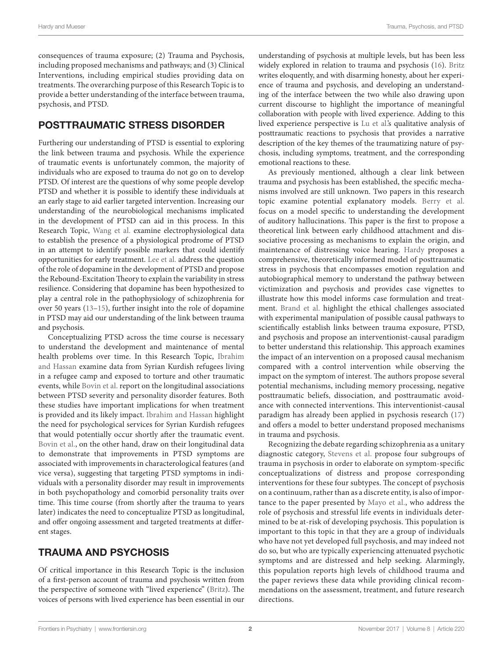consequences of trauma exposure; (2) Trauma and Psychosis, including proposed mechanisms and pathways; and (3) Clinical Interventions, including empirical studies providing data on treatments. The overarching purpose of this Research Topic is to provide a better understanding of the interface between trauma, psychosis, and PTSD.

## POSTTRAUMATIC STRESS DISORDER

Furthering our understanding of PTSD is essential to exploring the link between trauma and psychosis. While the experience of traumatic events is unfortunately common, the majority of individuals who are exposed to trauma do not go on to develop PTSD. Of interest are the questions of why some people develop PTSD and whether it is possible to identify these individuals at an early stage to aid earlier targeted intervention. Increasing our understanding of the neurobiological mechanisms implicated in the development of PTSD can aid in this process. In this Research Topic, [Wang et al.](https://doi.org/10.3389/fpsyt.2017.00071) examine electrophysiological data to establish the presence of a physiological prodrome of PTSD in an attempt to identify possible markers that could identify opportunities for early treatment. [Lee et al.](https://doi.org/10.3389/fpsyt.2016.00163) address the question of the role of dopamine in the development of PTSD and propose the Rebound-Excitation Theory to explain the variability in stress resilience. Considering that dopamine has been hypothesized to play a central role in the pathophysiology of schizophrenia for over 50 years ([13–](#page-2-12)[15\)](#page-2-13), further insight into the role of dopamine in PTSD may aid our understanding of the link between trauma and psychosis.

Conceptualizing PTSD across the time course is necessary to understand the development and maintenance of mental health problems over time. In this Research Topic, [Ibrahim](https://doi.org/10.3389/fpsyg.2017.00241) [and Hassan](https://doi.org/10.3389/fpsyg.2017.00241) examine data from Syrian Kurdish refugees living in a refugee camp and exposed to torture and other traumatic events, while [Bovin et al.](https://doi.org/10.3389/fpsyt.2017.00006) report on the longitudinal associations between PTSD severity and personality disorder features. Both these studies have important implications for when treatment is provided and its likely impact. [Ibrahim and Hassan](https://doi.org/10.3389/fpsyg.2017.00241) highlight the need for psychological services for Syrian Kurdish refugees that would potentially occur shortly after the traumatic event. [Bovin et al.](https://doi.org/10.3389/fpsyt.2017.00006), on the other hand, draw on their longitudinal data to demonstrate that improvements in PTSD symptoms are associated with improvements in characterological features (and vice versa), suggesting that targeting PTSD symptoms in individuals with a personality disorder may result in improvements in both psychopathology and comorbid personality traits over time. This time course (from shortly after the trauma to years later) indicates the need to conceptualize PTSD as longitudinal, and offer ongoing assessment and targeted treatments at different stages.

### TRAUMA AND PSYCHOSIS

Of critical importance in this Research Topic is the inclusion of a first-person account of trauma and psychosis written from the perspective of someone with "lived experience" [\(Britz\)](https://doi.org/10.3389/fpsyg.2017.00387). The voices of persons with lived experience has been essential in our

understanding of psychosis at multiple levels, but has been less widely explored in relation to trauma and psychosis ([16](#page-2-14)). [Britz](https://doi.org/10.3389/fpsyg.2017.00387) writes eloquently, and with disarming honesty, about her experience of trauma and psychosis, and developing an understanding of the interface between the two while also drawing upon current discourse to highlight the importance of meaningful collaboration with people with lived experience. Adding to this lived experience perspective is [Lu et al.'](https://doi.org/10.3389/fpsyt.2017.00129)s qualitative analysis of posttraumatic reactions to psychosis that provides a narrative description of the key themes of the traumatizing nature of psychosis, including symptoms, treatment, and the corresponding emotional reactions to these.

As previously mentioned, although a clear link between trauma and psychosis has been established, the specific mechanisms involved are still unknown. Two papers in this research topic examine potential explanatory models. [Berry et al.](https://doi.org/10.3389/fpsyt.2017.00111) focus on a model specific to understanding the development of auditory hallucinations. This paper is the first to propose a theoretical link between early childhood attachment and dissociative processing as mechanisms to explain the origin, and maintenance of distressing voice hearing. [Hardy](https://doi.org/10.3389/fpsyg.2017.00697) proposes a comprehensive, theoretically informed model of posttraumatic stress in psychosis that encompasses emotion regulation and autobiographical memory to understand the pathway between victimization and psychosis and provides case vignettes to illustrate how this model informs case formulation and treatment. [Brand et al.](https://doi.org/10.3389/fpsyg.2017.00306) highlight the ethical challenges associated with experimental manipulation of possible causal pathways to scientifically establish links between trauma exposure, PTSD, and psychosis and propose an interventionist-causal paradigm to better understand this relationship. This approach examines the impact of an intervention on a proposed causal mechanism compared with a control intervention while observing the impact on the symptom of interest. The authors propose several potential mechanisms, including memory processing, negative posttraumatic beliefs, dissociation, and posttraumatic avoidance with connected interventions. This interventionist-causal paradigm has already been applied in psychosis research [\(17\)](#page-2-15) and offers a model to better understand proposed mechanisms in trauma and psychosis.

Recognizing the debate regarding schizophrenia as a unitary diagnostic category, [Stevens et al.](https://doi.org/10.3389/fpsyt.2017.00021) propose four subgroups of trauma in psychosis in order to elaborate on symptom-specific conceptualizations of distress and propose corresponding interventions for these four subtypes. The concept of psychosis on a continuum, rather than as a discrete entity, is also of importance to the paper presented by [Mayo et al.,](https://doi.org/10.3389/fpsyt.2017.00055) who address the role of psychosis and stressful life events in individuals determined to be at-risk of developing psychosis. This population is important to this topic in that they are a group of individuals who have not yet developed full psychosis, and may indeed not do so, but who are typically experiencing attenuated psychotic symptoms and are distressed and help seeking. Alarmingly, this population reports high levels of childhood trauma and the paper reviews these data while providing clinical recommendations on the assessment, treatment, and future research directions.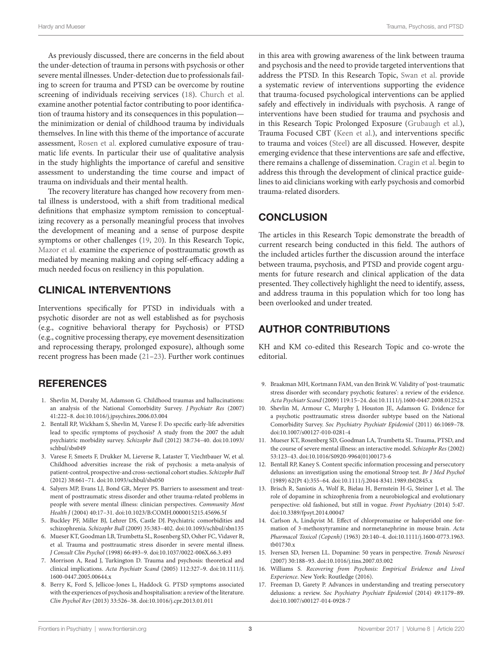As previously discussed, there are concerns in the field about the under-detection of trauma in persons with psychosis or other severe mental illnesses. Under-detection due to professionals failing to screen for trauma and PTSD can be overcome by routine screening of individuals receiving services ([18\)](#page-3-0). [Church et al.](https://doi.org/10.3389/fpsyg.2017.01276) examine another potential factor contributing to poor identification of trauma history and its consequences in this population the minimization or denial of childhood trauma by individuals themselves. In line with this theme of the importance of accurate assessment, [Rosen et al.](https://doi.org/10.3389/fpsyt.2017.00057) explored cumulative exposure of traumatic life events. In particular their use of qualitative analysis in the study highlights the importance of careful and sensitive assessment to understanding the time course and impact of trauma on individuals and their mental health.

The recovery literature has changed how recovery from mental illness is understood, with a shift from traditional medical definitions that emphasize symptom remission to conceptualizing recovery as a personally meaningful process that involves the development of meaning and a sense of purpose despite symptoms or other challenges ([19](#page-3-1), [20](#page-3-2)). In this Research Topic, [Mazor et al.](https://doi.org/10.3389/fpsyt.2016.00202) examine the experience of posttraumatic growth as mediated by meaning making and coping self-efficacy adding a much needed focus on resiliency in this population.

### CLINICAL INTERVENTIONS

Interventions specifically for PTSD in individuals with a psychotic disorder are not as well established as for psychosis (e.g., cognitive behavioral therapy for Psychosis) or PTSD (e.g., cognitive processing therapy, eye movement desensitization and reprocessing therapy, prolonged exposure), although some recent progress has been made [\(21](#page-3-3)[–23](#page-3-4)). Further work continues

### **REFERENCES**

- <span id="page-2-0"></span>1. Shevlin M, Dorahy M, Adamson G. Childhood traumas and hallucinations: an analysis of the National Comorbidity Survey. *J Psychiatr Res* (2007) 41:222–8. doi[:10.1016/j.jpsychires.2006.03.004](https://doi.org/10.1016/j.jpsychires.2006.03.004)
- <span id="page-2-10"></span>2. Bentall RP, Wickham S, Shevlin M, Varese F. Do specific early-life adversities lead to specific symptoms of psychosis? A study from the 2007 the adult psychiatric morbidity survey. *Schizophr Bull* (2012) 38:734–40. doi[:10.1093/](https://doi.org/10.1093/schbul/sbs049) [schbul/sbs049](https://doi.org/10.1093/schbul/sbs049)
- <span id="page-2-1"></span>3. Varese F, Smeets F, Drukker M, Lieverse R, Lataster T, Viechtbauer W, et al. Childhood adversities increase the risk of psychosis: a meta-analysis of patient-control, prospective-and cross-sectional cohort studies. *Schizophr Bull* (2012) 38:661–71. doi[:10.1093/schbul/sbs050](https://doi.org/10.1093/schbul/sbs050)
- <span id="page-2-2"></span>4. Salyers MP, Evans LJ, Bond GR, Meyer PS. Barriers to assessment and treatment of posttraumatic stress disorder and other trauma-related problems in people with severe mental illness: clinician perspectives. *Community Ment Health J* (2004) 40:17–31. doi[:10.1023/B:COMH.0000015215.45696.5f](https://doi.org/10.1023/B:COMH.0000015215.45696.5f)
- <span id="page-2-3"></span>5. Buckley PF, Miller BJ, Lehrer DS, Castle DJ. Psychiatric comorbidities and schizophrenia. *Schizophr Bull* (2009) 35:383–402. doi[:10.1093/schbul/sbn135](https://doi.org/10.1093/schbul/sbn135)
- <span id="page-2-4"></span>6. Mueser KT, Goodman LB, Trumbetta SL, Rosenberg SD, Osher FC, Vidaver R, et al. Trauma and posttraumatic stress disorder in severe mental illness. *J Consult Clin Psychol* (1998) 66:493–9. doi:[10.1037/0022-006X.66.3.493](https://doi.org/10.1037/0022-006X.66.3.493)
- <span id="page-2-5"></span>7. Morrison A, Read J, Turkington D. Trauma and psychosis: theoretical and clinical implications. *Acta Psychiatr Scand* (2005) 112:327–9. doi:[10.1111/j.](https://doi.org/10.1111/j.1600-0447.2005.00644.x) [1600-0447.2005.00644.x](https://doi.org/10.1111/j.1600-0447.2005.00644.x)
- <span id="page-2-6"></span>8. Berry K, Ford S, Jellicoe-Jones L, Haddock G. PTSD symptoms associated with the experiences of psychosis and hospitalisation: a review of the literature. *Clin Psychol Rev* (2013) 33:526–38. doi[:10.1016/j.cpr.2013.01.011](https://doi.org/10.1016/j.cpr.2013.01.011)

in this area with growing awareness of the link between trauma and psychosis and the need to provide targeted interventions that address the PTSD. In this Research Topic, [Swan et al.](https://doi.org/10.3389/fpsyg.2017.00341) provide a systematic review of interventions supporting the evidence that trauma-focused psychological interventions can be applied safely and effectively in individuals with psychosis. A range of interventions have been studied for trauma and psychosis and in this Research Topic Prolonged Exposure ([Grubaugh et al.](https://doi.org/10.3389/fpsyg.2017.00977)), Trauma Focused CBT ([Keen et al.\)](https://doi.org/10.3389/fpsyt.2017.00092), and interventions specific to trauma and voices [\(Steel](https://doi.org/10.3389/fpsyg.2016.02035)) are all discussed. However, despite emerging evidence that these interventions are safe and effective, there remains a challenge of dissemination. [Cragin et al.](https://doi.org/10.3389/fpsyt.2017.00033) begin to address this through the development of clinical practice guidelines to aid clinicians working with early psychosis and comorbid trauma-related disorders.

# **CONCLUSION**

The articles in this Research Topic demonstrate the breadth of current research being conducted in this field. The authors of the included articles further the discussion around the interface between trauma, psychosis, and PTSD and provide cogent arguments for future research and clinical application of the data presented. They collectively highlight the need to identify, assess, and address trauma in this population which for too long has been overlooked and under treated.

## AUTHOR CONTRIBUTIONS

KH and KM co-edited this Research Topic and co-wrote the editorial.

- <span id="page-2-7"></span>9. Braakman MH, Kortmann FAM, van den Brink W. Validity of 'post-traumatic stress disorder with secondary psychotic features': a review of the evidence. *Acta Psychiatr Scand* (2009) 119:15–24. doi[:10.1111/j.1600-0447.2008.01252.x](https://doi.org/10.1111/j.1600-0447.2008.01252.x)
- <span id="page-2-8"></span>10. Shevlin M, Armour C, Murphy J, Houston JE, Adamson G. Evidence for a psychotic posttraumatic stress disorder subtype based on the National Comorbidity Survey. *Soc Psychiatry Psychiatr Epidemiol* (2011) 46:1069–78. doi:[10.1007/s00127-010-0281-4](https://doi.org/10.1007/s00127-010-0281-4)
- <span id="page-2-9"></span>11. Mueser KT, Rosenberg SD, Goodman LA, Trumbetta SL. Trauma, PTSD, and the course of severe mental illness: an interactive model. *Schizophr Res* (2002) 53:123–43. doi:[10.1016/S0920-9964\(01\)00173-6](https://doi.org/10.1016/S0920-9964(01)00173-6)
- <span id="page-2-11"></span>12. Bentall RP, Kaney S. Content specific information processing and persecutory delusions: an investigation using the emotional Stroop test. *Br J Med Psychol* (1989) 62(Pt 4):355–64. doi[:10.1111/j.2044-8341.1989.tb02845.x](https://doi.org/10.1111/j.2044-8341.1989.tb02845.x)
- <span id="page-2-12"></span>13. Brisch R, Saniotis A, Wolf R, Bielau H, Bernstein H-G, Steiner J, et al. The role of dopamine in schizophrenia from a neurobiological and evolutionary perspective: old fashioned, but still in vogue. *Front Psychiatry* (2014) 5:47. doi:[10.3389/fpsyt.2014.00047](https://doi.org/10.3389/fpsyt.2014.00047)
- 14. Carlson A, Lindqvist M. Effect of chlorpromazine or haloperidol one formation of 3-methoxytyramine and normetanephrine in mouse brain. *Acta Pharmacol Toxicol (Copenh)* (1963) 20:140–4. doi[:10.1111/j.1600-0773.1963.](https://doi.org/10.1111/j.1600-0773.1963.tb01730.x) [tb01730.x](https://doi.org/10.1111/j.1600-0773.1963.tb01730.x)
- <span id="page-2-13"></span>15. Iversen SD, Iversen LL. Dopamine: 50 years in perspective. *Trends Neurosci* (2007) 30:188–93. doi[:10.1016/j.tins.2007.03.002](https://doi.org/10.1016/j.tins.2007.03.002)
- <span id="page-2-14"></span>16. Williams S. *Recovering from Psychosis: Empirical Evidence and Lived Experience*. New York: Routledge (2016).
- <span id="page-2-15"></span>17. Freeman D, Garety P. Advances in understanding and treating persecutory delusions: a review. *Soc Psychiatry Psychiatr Epidemiol* (2014) 49:1179–89. doi:[10.1007/s00127-014-0928-7](https://doi.org/10.1007/s00127-014-0928-7)